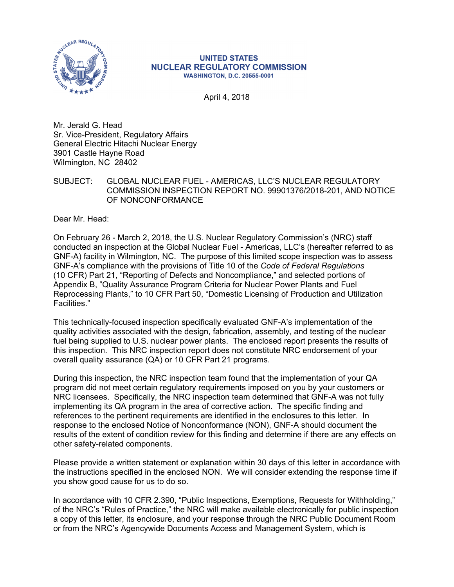

#### **UNITED STATES NUCLEAR REGULATORY COMMISSION WASHINGTON, D.C. 20555-0001**

April 4, 2018

Mr. Jerald G. Head Sr. Vice-President, Regulatory Affairs General Electric Hitachi Nuclear Energy 3901 Castle Hayne Road Wilmington, NC 28402

# SUBJECT: GLOBAL NUCLEAR FUEL - AMERICAS, LLC'S NUCLEAR REGULATORY COMMISSION INSPECTION REPORT NO. 99901376/2018-201, AND NOTICE OF NONCONFORMANCE

Dear Mr. Head:

On February 26 - March 2, 2018, the U.S. Nuclear Regulatory Commission's (NRC) staff conducted an inspection at the Global Nuclear Fuel - Americas, LLC's (hereafter referred to as GNF-A) facility in Wilmington, NC. The purpose of this limited scope inspection was to assess GNF-A's compliance with the provisions of Title 10 of the *Code of Federal Regulations*  (10 CFR) Part 21, "Reporting of Defects and Noncompliance," and selected portions of Appendix B, "Quality Assurance Program Criteria for Nuclear Power Plants and Fuel Reprocessing Plants," to 10 CFR Part 50, "Domestic Licensing of Production and Utilization Facilities."

This technically-focused inspection specifically evaluated GNF-A's implementation of the quality activities associated with the design, fabrication, assembly, and testing of the nuclear fuel being supplied to U.S. nuclear power plants. The enclosed report presents the results of this inspection. This NRC inspection report does not constitute NRC endorsement of your overall quality assurance (QA) or 10 CFR Part 21 programs.

During this inspection, the NRC inspection team found that the implementation of your QA program did not meet certain regulatory requirements imposed on you by your customers or NRC licensees. Specifically, the NRC inspection team determined that GNF-A was not fully implementing its QA program in the area of corrective action. The specific finding and references to the pertinent requirements are identified in the enclosures to this letter. In response to the enclosed Notice of Nonconformance (NON), GNF-A should document the results of the extent of condition review for this finding and determine if there are any effects on other safety-related components.

Please provide a written statement or explanation within 30 days of this letter in accordance with the instructions specified in the enclosed NON. We will consider extending the response time if you show good cause for us to do so.

In accordance with 10 CFR 2.390, "Public Inspections, Exemptions, Requests for Withholding," of the NRC's "Rules of Practice," the NRC will make available electronically for public inspection a copy of this letter, its enclosure, and your response through the NRC Public Document Room or from the NRC's Agencywide Documents Access and Management System, which is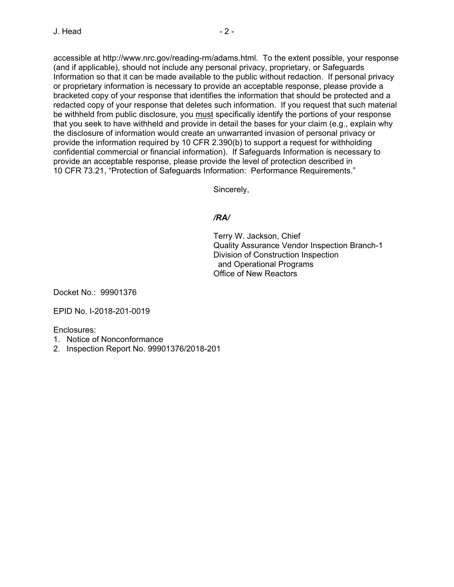accessible at http://www.nrc.gov/reading-rm/adams.html. To the extent possible, your response (and if applicable), should not include any personal privacy, proprietary, or Safeguards Information so that it can be made available to the public without redaction. If personal privacy or proprietary information is necessary to provide an acceptable response, please provide a bracketed copy of your response that identifies the information that should be protected and a redacted copy of your response that deletes such information. If you request that such material be withheld from public disclosure, you must specifically identify the portions of your response that you seek to have withheld and provide in detail the bases for your claim (e.g., explain why the disclosure of information would create an unwarranted invasion of personal privacy or provide the information required by 10 CFR 2.390(b) to support a request for withholding confidential commercial or financial information). If Safeguards Information is necessary to provide an acceptable response, please provide the level of protection described in 10 CFR 73.21, "Protection of Safeguards Information: Performance Requirements."

Sincerely,

# */RA/*

Terry W. Jackson, Chief Quality Assurance Vendor Inspection Branch-1 Division of Construction Inspection and Operational Programs Office of New Reactors

Docket No.: 99901376

EPID No. I-2018-201-0019

Enclosures:

- 1. Notice of Nonconformance
- 2. Inspection Report No. 99901376/2018-201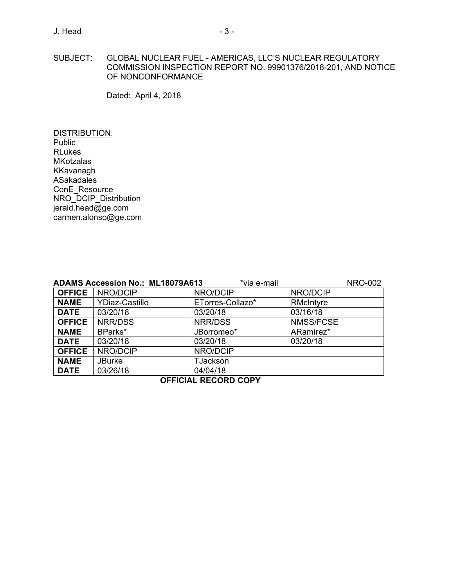## SUBJECT: GLOBAL NUCLEAR FUEL - AMERICAS, LLC'S NUCLEAR REGULATORY COMMISSION INSPECTION REPORT NO. 99901376/2018-201, AND NOTICE OF NONCONFORMANCE

Dated: April 4, 2018

DISTRIBUTION: **Public** RLukes **MKotzalas** KKavanagh ASakadales ConE\_Resource NRO\_DCIP\_Distribution jerald.head@ge.com carmen.alonso@ge.com

| *via e-mail<br><b>NRO-002</b><br><b>ADAMS Accession No.: ML18079A613</b> |                       |                  |           |  |  |
|--------------------------------------------------------------------------|-----------------------|------------------|-----------|--|--|
| <b>OFFICE</b>                                                            | NRO/DCIP              | NRO/DCIP         | NRO/DCIP  |  |  |
| <b>NAME</b>                                                              | <b>YDiaz-Castillo</b> | ETorres-Collazo* | RMcIntyre |  |  |
| <b>DATE</b>                                                              | 03/20/18              | 03/20/18         | 03/16/18  |  |  |
| <b>OFFICE</b>                                                            | NRR/DSS               | NRR/DSS          | NMSS/FCSE |  |  |
| <b>NAME</b>                                                              | BParks*               | JBorromeo*       | ARamírez* |  |  |
| <b>DATE</b>                                                              | 03/20/18              | 03/20/18         | 03/20/18  |  |  |
| <b>OFFICE</b>                                                            | NRO/DCIP              | NRO/DCIP         |           |  |  |
| <b>NAME</b>                                                              | <b>JBurke</b>         | <b>TJackson</b>  |           |  |  |
| <b>DATE</b>                                                              | 03/26/18              | 04/04/18         |           |  |  |
| <b>OFFICIAL RECORD COPY</b>                                              |                       |                  |           |  |  |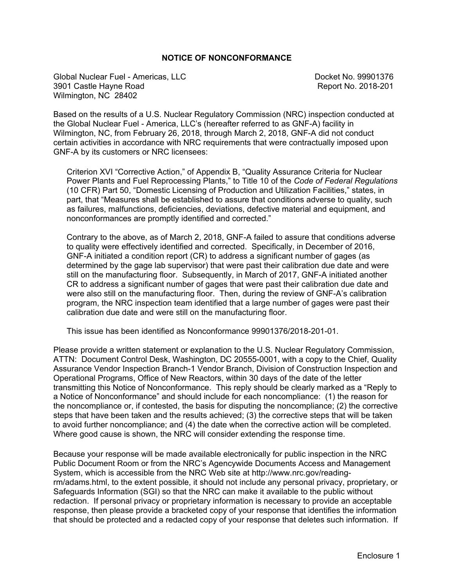# **NOTICE OF NONCONFORMANCE**

Global Nuclear Fuel - Americas, LLC Company Controllery Controllery Docket No. 99901376 3901 Castle Hayne Road **Report No. 2018-201** Wilmington, NC 28402

Based on the results of a U.S. Nuclear Regulatory Commission (NRC) inspection conducted at the Global Nuclear Fuel - America, LLC's (hereafter referred to as GNF-A) facility in Wilmington, NC, from February 26, 2018, through March 2, 2018, GNF-A did not conduct certain activities in accordance with NRC requirements that were contractually imposed upon GNF-A by its customers or NRC licensees:

Criterion XVI "Corrective Action," of Appendix B, "Quality Assurance Criteria for Nuclear Power Plants and Fuel Reprocessing Plants," to Title 10 of the *Code of Federal Regulations* (10 CFR) Part 50, "Domestic Licensing of Production and Utilization Facilities," states, in part, that "Measures shall be established to assure that conditions adverse to quality, such as failures, malfunctions, deficiencies, deviations, defective material and equipment, and nonconformances are promptly identified and corrected."

Contrary to the above, as of March 2, 2018, GNF-A failed to assure that conditions adverse to quality were effectively identified and corrected. Specifically, in December of 2016, GNF-A initiated a condition report (CR) to address a significant number of gages (as determined by the gage lab supervisor) that were past their calibration due date and were still on the manufacturing floor. Subsequently, in March of 2017, GNF-A initiated another CR to address a significant number of gages that were past their calibration due date and were also still on the manufacturing floor. Then, during the review of GNF-A's calibration program, the NRC inspection team identified that a large number of gages were past their calibration due date and were still on the manufacturing floor.

This issue has been identified as Nonconformance 99901376/2018-201-01.

Please provide a written statement or explanation to the U.S. Nuclear Regulatory Commission, ATTN: Document Control Desk, Washington, DC 20555-0001, with a copy to the Chief, Quality Assurance Vendor Inspection Branch-1 Vendor Branch, Division of Construction Inspection and Operational Programs, Office of New Reactors, within 30 days of the date of the letter transmitting this Notice of Nonconformance. This reply should be clearly marked as a "Reply to a Notice of Nonconformance" and should include for each noncompliance: (1) the reason for the noncompliance or, if contested, the basis for disputing the noncompliance; (2) the corrective steps that have been taken and the results achieved; (3) the corrective steps that will be taken to avoid further noncompliance; and (4) the date when the corrective action will be completed. Where good cause is shown, the NRC will consider extending the response time.

Because your response will be made available electronically for public inspection in the NRC Public Document Room or from the NRC's Agencywide Documents Access and Management System, which is accessible from the NRC Web site at http://www.nrc.gov/readingrm/adams.html, to the extent possible, it should not include any personal privacy, proprietary, or Safeguards Information (SGI) so that the NRC can make it available to the public without redaction. If personal privacy or proprietary information is necessary to provide an acceptable response, then please provide a bracketed copy of your response that identifies the information that should be protected and a redacted copy of your response that deletes such information. If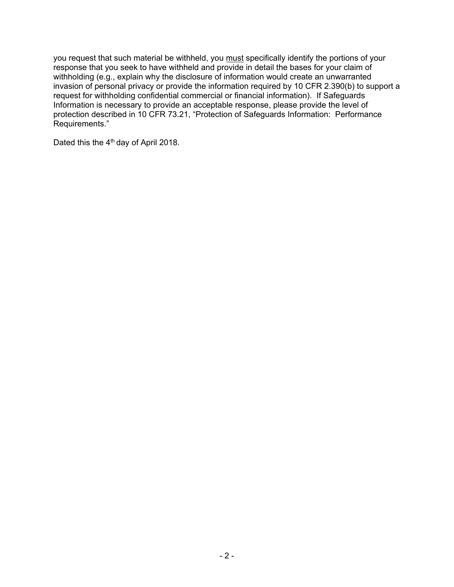you request that such material be withheld, you must specifically identify the portions of your response that you seek to have withheld and provide in detail the bases for your claim of withholding (e.g., explain why the disclosure of information would create an unwarranted invasion of personal privacy or provide the information required by 10 CFR 2.390(b) to support a request for withholding confidential commercial or financial information). If Safeguards Information is necessary to provide an acceptable response, please provide the level of protection described in 10 CFR 73.21, "Protection of Safeguards Information: Performance Requirements."

Dated this the 4<sup>th</sup> day of April 2018.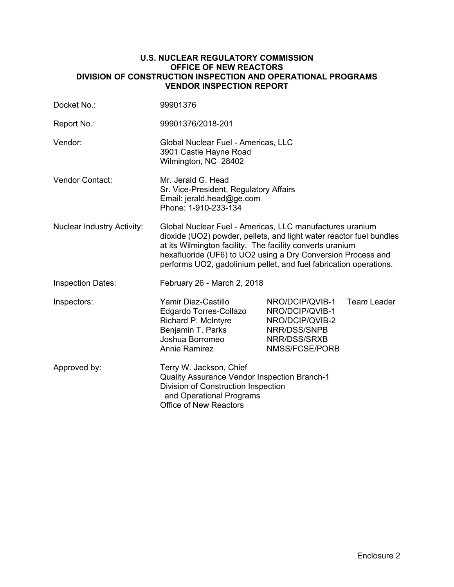## **U.S. NUCLEAR REGULATORY COMMISSION OFFICE OF NEW REACTORS DIVISION OF CONSTRUCTION INSPECTION AND OPERATIONAL PROGRAMS VENDOR INSPECTION REPORT**

| Docket No.:                       | 99901376                                                                                                                                                                                                                                                                                                                          |                                                                                                         |                    |
|-----------------------------------|-----------------------------------------------------------------------------------------------------------------------------------------------------------------------------------------------------------------------------------------------------------------------------------------------------------------------------------|---------------------------------------------------------------------------------------------------------|--------------------|
| Report No.:                       | 99901376/2018-201                                                                                                                                                                                                                                                                                                                 |                                                                                                         |                    |
| Vendor:                           | Global Nuclear Fuel - Americas, LLC<br>3901 Castle Hayne Road<br>Wilmington, NC 28402                                                                                                                                                                                                                                             |                                                                                                         |                    |
| Vendor Contact:                   | Mr. Jerald G. Head<br>Sr. Vice-President, Regulatory Affairs<br>Email: jerald.head@ge.com<br>Phone: 1-910-233-134                                                                                                                                                                                                                 |                                                                                                         |                    |
| <b>Nuclear Industry Activity:</b> | Global Nuclear Fuel - Americas, LLC manufactures uranium<br>dioxide (UO2) powder, pellets, and light water reactor fuel bundles<br>at its Wilmington facility. The facility converts uranium<br>hexafluoride (UF6) to UO2 using a Dry Conversion Process and<br>performs UO2, gadolinium pellet, and fuel fabrication operations. |                                                                                                         |                    |
| <b>Inspection Dates:</b>          | February 26 - March 2, 2018                                                                                                                                                                                                                                                                                                       |                                                                                                         |                    |
| Inspectors:                       | Yamir Diaz-Castillo<br>Edgardo Torres-Collazo<br>Richard P. McIntyre<br>Benjamin T. Parks<br>Joshua Borromeo<br><b>Annie Ramirez</b>                                                                                                                                                                                              | NRO/DCIP/QVIB-1<br>NRO/DCIP/QVIB-1<br>NRO/DCIP/QVIB-2<br>NRR/DSS/SNPB<br>NRR/DSS/SRXB<br>NMSS/FCSE/PORB | <b>Team Leader</b> |
| Approved by:                      | Terry W. Jackson, Chief<br>Quality Assurance Vendor Inspection Branch-1<br>Division of Construction Inspection<br>and Operational Programs<br><b>Office of New Reactors</b>                                                                                                                                                       |                                                                                                         |                    |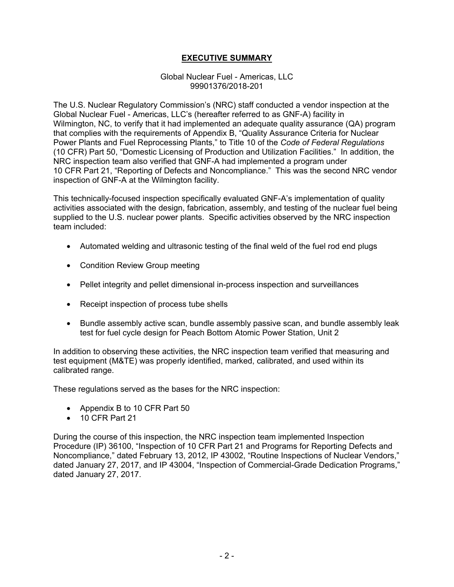# **EXECUTIVE SUMMARY**

Global Nuclear Fuel - Americas, LLC 99901376/2018-201

The U.S. Nuclear Regulatory Commission's (NRC) staff conducted a vendor inspection at the Global Nuclear Fuel - Americas, LLC's (hereafter referred to as GNF-A) facility in Wilmington, NC, to verify that it had implemented an adequate quality assurance (QA) program that complies with the requirements of Appendix B, "Quality Assurance Criteria for Nuclear Power Plants and Fuel Reprocessing Plants," to Title 10 of the *Code of Federal Regulations* (10 CFR) Part 50, "Domestic Licensing of Production and Utilization Facilities." In addition, the NRC inspection team also verified that GNF-A had implemented a program under 10 CFR Part 21, "Reporting of Defects and Noncompliance." This was the second NRC vendor inspection of GNF-A at the Wilmington facility.

This technically-focused inspection specifically evaluated GNF-A's implementation of quality activities associated with the design, fabrication, assembly, and testing of the nuclear fuel being supplied to the U.S. nuclear power plants. Specific activities observed by the NRC inspection team included:

- Automated welding and ultrasonic testing of the final weld of the fuel rod end plugs
- Condition Review Group meeting
- Pellet integrity and pellet dimensional in-process inspection and surveillances
- Receipt inspection of process tube shells
- Bundle assembly active scan, bundle assembly passive scan, and bundle assembly leak test for fuel cycle design for Peach Bottom Atomic Power Station, Unit 2

In addition to observing these activities, the NRC inspection team verified that measuring and test equipment (M&TE) was properly identified, marked, calibrated, and used within its calibrated range.

These regulations served as the bases for the NRC inspection:

- Appendix B to 10 CFR Part 50
- 10 CFR Part 21

During the course of this inspection, the NRC inspection team implemented Inspection Procedure (IP) 36100, "Inspection of 10 CFR Part 21 and Programs for Reporting Defects and Noncompliance," dated February 13, 2012, IP 43002, "Routine Inspections of Nuclear Vendors," dated January 27, 2017, and IP 43004, "Inspection of Commercial-Grade Dedication Programs," dated January 27, 2017.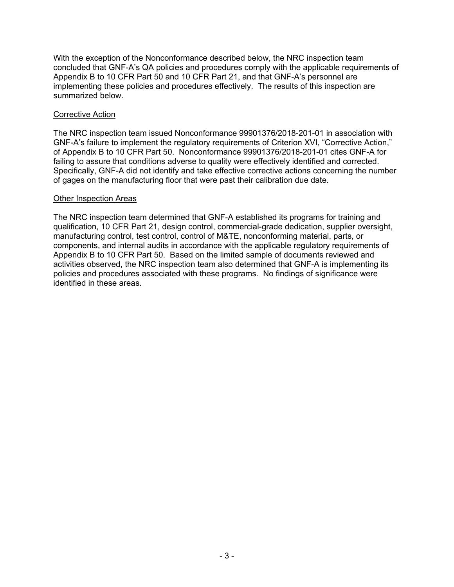With the exception of the Nonconformance described below, the NRC inspection team concluded that GNF-A's QA policies and procedures comply with the applicable requirements of Appendix B to 10 CFR Part 50 and 10 CFR Part 21, and that GNF-A's personnel are implementing these policies and procedures effectively. The results of this inspection are summarized below.

# Corrective Action

The NRC inspection team issued Nonconformance 99901376/2018-201-01 in association with GNF-A's failure to implement the regulatory requirements of Criterion XVI, "Corrective Action," of Appendix B to 10 CFR Part 50. Nonconformance 99901376/2018-201-01 cites GNF-A for failing to assure that conditions adverse to quality were effectively identified and corrected. Specifically, GNF-A did not identify and take effective corrective actions concerning the number of gages on the manufacturing floor that were past their calibration due date.

# Other Inspection Areas

The NRC inspection team determined that GNF-A established its programs for training and qualification, 10 CFR Part 21, design control, commercial-grade dedication, supplier oversight, manufacturing control, test control, control of M&TE, nonconforming material, parts, or components, and internal audits in accordance with the applicable regulatory requirements of Appendix B to 10 CFR Part 50. Based on the limited sample of documents reviewed and activities observed, the NRC inspection team also determined that GNF-A is implementing its policies and procedures associated with these programs. No findings of significance were identified in these areas.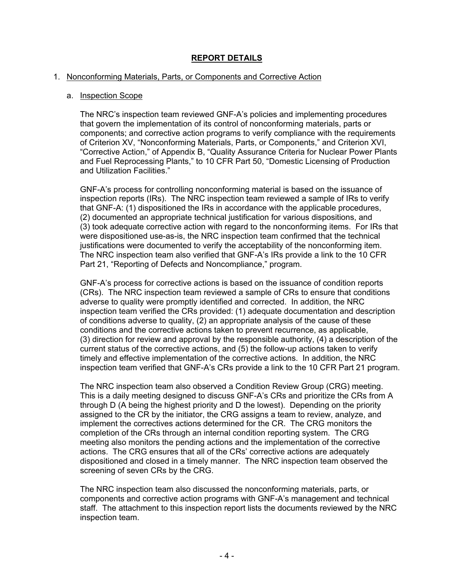# **REPORT DETAILS**

### 1. Nonconforming Materials, Parts, or Components and Corrective Action

### a. Inspection Scope

The NRC's inspection team reviewed GNF-A's policies and implementing procedures that govern the implementation of its control of nonconforming materials, parts or components; and corrective action programs to verify compliance with the requirements of Criterion XV, "Nonconforming Materials, Parts, or Components," and Criterion XVI, "Corrective Action," of Appendix B, "Quality Assurance Criteria for Nuclear Power Plants and Fuel Reprocessing Plants," to 10 CFR Part 50, "Domestic Licensing of Production and Utilization Facilities."

GNF-A's process for controlling nonconforming material is based on the issuance of inspection reports (IRs). The NRC inspection team reviewed a sample of IRs to verify that GNF-A: (1) dispositioned the IRs in accordance with the applicable procedures, (2) documented an appropriate technical justification for various dispositions, and (3) took adequate corrective action with regard to the nonconforming items. For IRs that were dispositioned use-as-is, the NRC inspection team confirmed that the technical justifications were documented to verify the acceptability of the nonconforming item. The NRC inspection team also verified that GNF-A's IRs provide a link to the 10 CFR Part 21, "Reporting of Defects and Noncompliance," program.

GNF-A's process for corrective actions is based on the issuance of condition reports (CRs). The NRC inspection team reviewed a sample of CRs to ensure that conditions adverse to quality were promptly identified and corrected. In addition, the NRC inspection team verified the CRs provided: (1) adequate documentation and description of conditions adverse to quality, (2) an appropriate analysis of the cause of these conditions and the corrective actions taken to prevent recurrence, as applicable, (3) direction for review and approval by the responsible authority, (4) a description of the current status of the corrective actions, and (5) the follow-up actions taken to verify timely and effective implementation of the corrective actions. In addition, the NRC inspection team verified that GNF-A's CRs provide a link to the 10 CFR Part 21 program.

The NRC inspection team also observed a Condition Review Group (CRG) meeting. This is a daily meeting designed to discuss GNF-A's CRs and prioritize the CRs from A through D (A being the highest priority and D the lowest). Depending on the priority assigned to the CR by the initiator, the CRG assigns a team to review, analyze, and implement the correctives actions determined for the CR. The CRG monitors the completion of the CRs through an internal condition reporting system. The CRG meeting also monitors the pending actions and the implementation of the corrective actions. The CRG ensures that all of the CRs' corrective actions are adequately dispositioned and closed in a timely manner. The NRC inspection team observed the screening of seven CRs by the CRG.

The NRC inspection team also discussed the nonconforming materials, parts, or components and corrective action programs with GNF-A's management and technical staff. The attachment to this inspection report lists the documents reviewed by the NRC inspection team.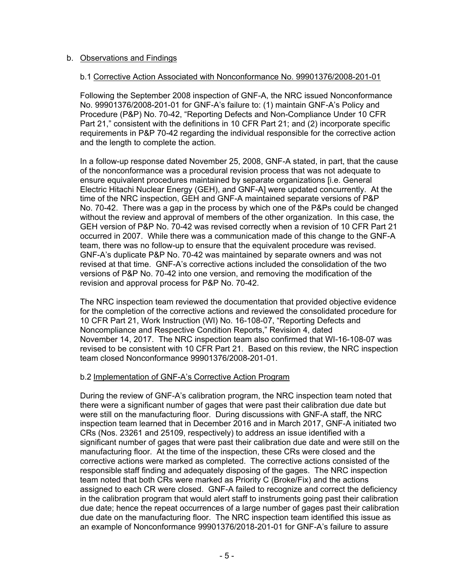# b. Observations and Findings

## b.1 Corrective Action Associated with Nonconformance No. 99901376/2008-201-01

Following the September 2008 inspection of GNF-A, the NRC issued Nonconformance No. 99901376/2008-201-01 for GNF-A's failure to: (1) maintain GNF-A's Policy and Procedure (P&P) No. 70-42, "Reporting Defects and Non-Compliance Under 10 CFR Part 21," consistent with the definitions in 10 CFR Part 21; and (2) incorporate specific requirements in P&P 70-42 regarding the individual responsible for the corrective action and the length to complete the action.

In a follow-up response dated November 25, 2008, GNF-A stated, in part, that the cause of the nonconformance was a procedural revision process that was not adequate to ensure equivalent procedures maintained by separate organizations [i.e. General Electric Hitachi Nuclear Energy (GEH), and GNF-A] were updated concurrently. At the time of the NRC inspection, GEH and GNF-A maintained separate versions of P&P No. 70-42. There was a gap in the process by which one of the P&Ps could be changed without the review and approval of members of the other organization. In this case, the GEH version of P&P No. 70-42 was revised correctly when a revision of 10 CFR Part 21 occurred in 2007. While there was a communication made of this change to the GNF-A team, there was no follow-up to ensure that the equivalent procedure was revised. GNF-A's duplicate P&P No. 70-42 was maintained by separate owners and was not revised at that time. GNF-A's corrective actions included the consolidation of the two versions of P&P No. 70-42 into one version, and removing the modification of the revision and approval process for P&P No. 70-42.

The NRC inspection team reviewed the documentation that provided objective evidence for the completion of the corrective actions and reviewed the consolidated procedure for 10 CFR Part 21, Work Instruction (WI) No. 16-108-07, "Reporting Defects and Noncompliance and Respective Condition Reports," Revision 4, dated November 14, 2017. The NRC inspection team also confirmed that WI-16-108-07 was revised to be consistent with 10 CFR Part 21. Based on this review, the NRC inspection team closed Nonconformance 99901376/2008-201-01.

#### b.2 Implementation of GNF-A's Corrective Action Program

During the review of GNF-A's calibration program, the NRC inspection team noted that there were a significant number of gages that were past their calibration due date but were still on the manufacturing floor. During discussions with GNF-A staff, the NRC inspection team learned that in December 2016 and in March 2017, GNF-A initiated two CRs (Nos. 23261 and 25109, respectively) to address an issue identified with a significant number of gages that were past their calibration due date and were still on the manufacturing floor. At the time of the inspection, these CRs were closed and the corrective actions were marked as completed. The corrective actions consisted of the responsible staff finding and adequately disposing of the gages. The NRC inspection team noted that both CRs were marked as Priority C (Broke/Fix) and the actions assigned to each CR were closed. GNF-A failed to recognize and correct the deficiency in the calibration program that would alert staff to instruments going past their calibration due date; hence the repeat occurrences of a large number of gages past their calibration due date on the manufacturing floor. The NRC inspection team identified this issue as an example of Nonconformance 99901376/2018-201-01 for GNF-A's failure to assure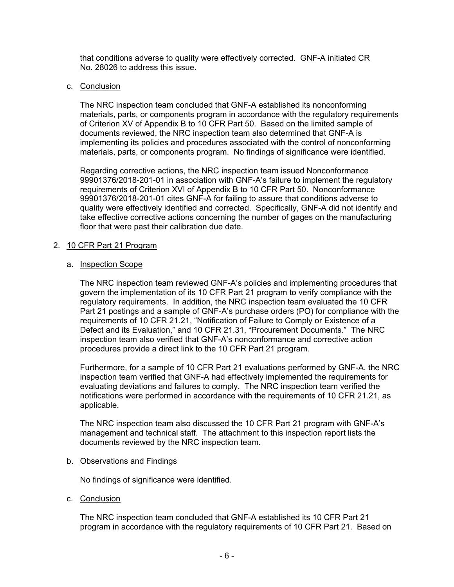that conditions adverse to quality were effectively corrected. GNF-A initiated CR No. 28026 to address this issue.

## c. Conclusion

The NRC inspection team concluded that GNF-A established its nonconforming materials, parts, or components program in accordance with the regulatory requirements of Criterion XV of Appendix B to 10 CFR Part 50. Based on the limited sample of documents reviewed, the NRC inspection team also determined that GNF-A is implementing its policies and procedures associated with the control of nonconforming materials, parts, or components program. No findings of significance were identified.

Regarding corrective actions, the NRC inspection team issued Nonconformance 99901376/2018-201-01 in association with GNF-A's failure to implement the regulatory requirements of Criterion XVI of Appendix B to 10 CFR Part 50. Nonconformance 99901376/2018-201-01 cites GNF-A for failing to assure that conditions adverse to quality were effectively identified and corrected. Specifically, GNF-A did not identify and take effective corrective actions concerning the number of gages on the manufacturing floor that were past their calibration due date.

## 2. 10 CFR Part 21 Program

## a. Inspection Scope

The NRC inspection team reviewed GNF-A's policies and implementing procedures that govern the implementation of its 10 CFR Part 21 program to verify compliance with the regulatory requirements. In addition, the NRC inspection team evaluated the 10 CFR Part 21 postings and a sample of GNF-A's purchase orders (PO) for compliance with the requirements of 10 CFR 21.21, "Notification of Failure to Comply or Existence of a Defect and its Evaluation," and 10 CFR 21.31, "Procurement Documents." The NRC inspection team also verified that GNF-A's nonconformance and corrective action procedures provide a direct link to the 10 CFR Part 21 program.

Furthermore, for a sample of 10 CFR Part 21 evaluations performed by GNF-A, the NRC inspection team verified that GNF-A had effectively implemented the requirements for evaluating deviations and failures to comply. The NRC inspection team verified the notifications were performed in accordance with the requirements of 10 CFR 21.21, as applicable.

The NRC inspection team also discussed the 10 CFR Part 21 program with GNF-A's management and technical staff. The attachment to this inspection report lists the documents reviewed by the NRC inspection team.

#### b. Observations and Findings

No findings of significance were identified.

c. Conclusion

The NRC inspection team concluded that GNF-A established its 10 CFR Part 21 program in accordance with the regulatory requirements of 10 CFR Part 21. Based on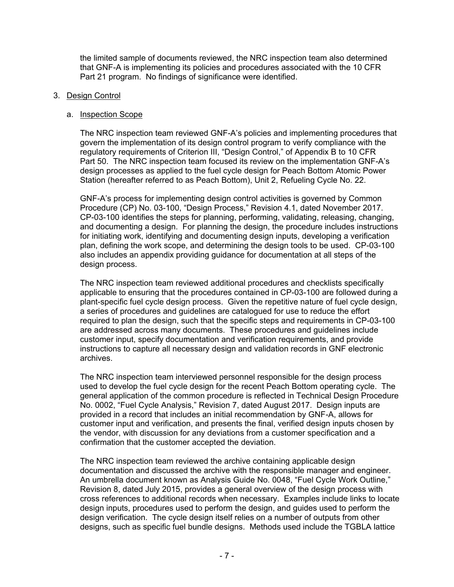the limited sample of documents reviewed, the NRC inspection team also determined that GNF-A is implementing its policies and procedures associated with the 10 CFR Part 21 program. No findings of significance were identified.

# 3. Design Control

# a. Inspection Scope

The NRC inspection team reviewed GNF-A's policies and implementing procedures that govern the implementation of its design control program to verify compliance with the regulatory requirements of Criterion III, "Design Control," of Appendix B to 10 CFR Part 50. The NRC inspection team focused its review on the implementation GNF-A's design processes as applied to the fuel cycle design for Peach Bottom Atomic Power Station (hereafter referred to as Peach Bottom), Unit 2, Refueling Cycle No. 22.

GNF-A's process for implementing design control activities is governed by Common Procedure (CP) No. 03-100, "Design Process," Revision 4.1, dated November 2017. CP-03-100 identifies the steps for planning, performing, validating, releasing, changing, and documenting a design. For planning the design, the procedure includes instructions for initiating work, identifying and documenting design inputs, developing a verification plan, defining the work scope, and determining the design tools to be used. CP-03-100 also includes an appendix providing guidance for documentation at all steps of the design process.

The NRC inspection team reviewed additional procedures and checklists specifically applicable to ensuring that the procedures contained in CP-03-100 are followed during a plant-specific fuel cycle design process. Given the repetitive nature of fuel cycle design, a series of procedures and guidelines are catalogued for use to reduce the effort required to plan the design, such that the specific steps and requirements in CP-03-100 are addressed across many documents. These procedures and guidelines include customer input, specify documentation and verification requirements, and provide instructions to capture all necessary design and validation records in GNF electronic archives.

The NRC inspection team interviewed personnel responsible for the design process used to develop the fuel cycle design for the recent Peach Bottom operating cycle. The general application of the common procedure is reflected in Technical Design Procedure No. 0002, "Fuel Cycle Analysis," Revision 7, dated August 2017. Design inputs are provided in a record that includes an initial recommendation by GNF-A, allows for customer input and verification, and presents the final, verified design inputs chosen by the vendor, with discussion for any deviations from a customer specification and a confirmation that the customer accepted the deviation.

The NRC inspection team reviewed the archive containing applicable design documentation and discussed the archive with the responsible manager and engineer. An umbrella document known as Analysis Guide No. 0048, "Fuel Cycle Work Outline," Revision 8, dated July 2015, provides a general overview of the design process with cross references to additional records when necessary. Examples include links to locate design inputs, procedures used to perform the design, and guides used to perform the design verification. The cycle design itself relies on a number of outputs from other designs, such as specific fuel bundle designs. Methods used include the TGBLA lattice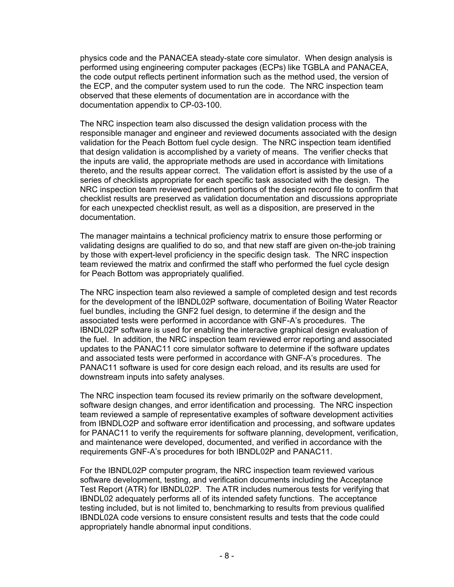physics code and the PANACEA steady-state core simulator. When design analysis is performed using engineering computer packages (ECPs) like TGBLA and PANACEA, the code output reflects pertinent information such as the method used, the version of the ECP, and the computer system used to run the code. The NRC inspection team observed that these elements of documentation are in accordance with the documentation appendix to CP-03-100.

The NRC inspection team also discussed the design validation process with the responsible manager and engineer and reviewed documents associated with the design validation for the Peach Bottom fuel cycle design. The NRC inspection team identified that design validation is accomplished by a variety of means. The verifier checks that the inputs are valid, the appropriate methods are used in accordance with limitations thereto, and the results appear correct. The validation effort is assisted by the use of a series of checklists appropriate for each specific task associated with the design. The NRC inspection team reviewed pertinent portions of the design record file to confirm that checklist results are preserved as validation documentation and discussions appropriate for each unexpected checklist result, as well as a disposition, are preserved in the documentation.

The manager maintains a technical proficiency matrix to ensure those performing or validating designs are qualified to do so, and that new staff are given on-the-job training by those with expert-level proficiency in the specific design task. The NRC inspection team reviewed the matrix and confirmed the staff who performed the fuel cycle design for Peach Bottom was appropriately qualified.

The NRC inspection team also reviewed a sample of completed design and test records for the development of the IBNDL02P software, documentation of Boiling Water Reactor fuel bundles, including the GNF2 fuel design, to determine if the design and the associated tests were performed in accordance with GNF-A's procedures. The IBNDL02P software is used for enabling the interactive graphical design evaluation of the fuel. In addition, the NRC inspection team reviewed error reporting and associated updates to the PANAC11 core simulator software to determine if the software updates and associated tests were performed in accordance with GNF-A's procedures. The PANAC11 software is used for core design each reload, and its results are used for downstream inputs into safety analyses.

The NRC inspection team focused its review primarily on the software development, software design changes, and error identification and processing. The NRC inspection team reviewed a sample of representative examples of software development activities from IBNDLO2P and software error identification and processing, and software updates for PANAC11 to verify the requirements for software planning, development, verification, and maintenance were developed, documented, and verified in accordance with the requirements GNF-A's procedures for both IBNDL02P and PANAC11.

For the IBNDL02P computer program, the NRC inspection team reviewed various software development, testing, and verification documents including the Acceptance Test Report (ATR) for IBNDL02P. The ATR includes numerous tests for verifying that IBNDL02 adequately performs all of its intended safety functions. The acceptance testing included, but is not limited to, benchmarking to results from previous qualified IBNDL02A code versions to ensure consistent results and tests that the code could appropriately handle abnormal input conditions.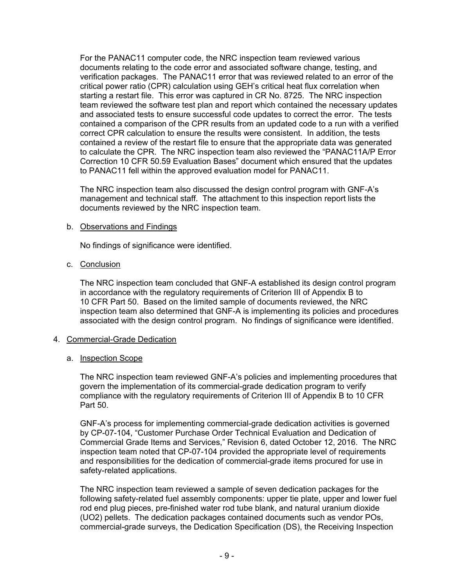For the PANAC11 computer code, the NRC inspection team reviewed various documents relating to the code error and associated software change, testing, and verification packages. The PANAC11 error that was reviewed related to an error of the critical power ratio (CPR) calculation using GEH's critical heat flux correlation when starting a restart file. This error was captured in CR No. 8725. The NRC inspection team reviewed the software test plan and report which contained the necessary updates and associated tests to ensure successful code updates to correct the error. The tests contained a comparison of the CPR results from an updated code to a run with a verified correct CPR calculation to ensure the results were consistent. In addition, the tests contained a review of the restart file to ensure that the appropriate data was generated to calculate the CPR. The NRC inspection team also reviewed the "PANAC11A/P Error Correction 10 CFR 50.59 Evaluation Bases" document which ensured that the updates to PANAC11 fell within the approved evaluation model for PANAC11.

The NRC inspection team also discussed the design control program with GNF-A's management and technical staff. The attachment to this inspection report lists the documents reviewed by the NRC inspection team.

# b. Observations and Findings

No findings of significance were identified.

## c. Conclusion

The NRC inspection team concluded that GNF-A established its design control program in accordance with the regulatory requirements of Criterion III of Appendix B to 10 CFR Part 50. Based on the limited sample of documents reviewed, the NRC inspection team also determined that GNF-A is implementing its policies and procedures associated with the design control program. No findings of significance were identified.

# 4. Commercial-Grade Dedication

# a. Inspection Scope

The NRC inspection team reviewed GNF-A's policies and implementing procedures that govern the implementation of its commercial-grade dedication program to verify compliance with the regulatory requirements of Criterion III of Appendix B to 10 CFR Part 50.

GNF-A's process for implementing commercial-grade dedication activities is governed by CP-07-104, "Customer Purchase Order Technical Evaluation and Dedication of Commercial Grade Items and Services," Revision 6, dated October 12, 2016. The NRC inspection team noted that CP-07-104 provided the appropriate level of requirements and responsibilities for the dedication of commercial-grade items procured for use in safety-related applications.

The NRC inspection team reviewed a sample of seven dedication packages for the following safety-related fuel assembly components: upper tie plate, upper and lower fuel rod end plug pieces, pre-finished water rod tube blank, and natural uranium dioxide (UO2) pellets. The dedication packages contained documents such as vendor POs, commercial-grade surveys, the Dedication Specification (DS), the Receiving Inspection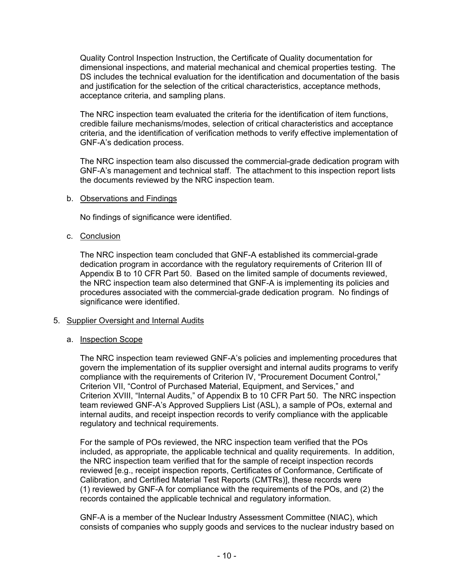Quality Control Inspection Instruction, the Certificate of Quality documentation for dimensional inspections, and material mechanical and chemical properties testing. The DS includes the technical evaluation for the identification and documentation of the basis and justification for the selection of the critical characteristics, acceptance methods, acceptance criteria, and sampling plans.

The NRC inspection team evaluated the criteria for the identification of item functions, credible failure mechanisms/modes, selection of critical characteristics and acceptance criteria, and the identification of verification methods to verify effective implementation of GNF-A's dedication process.

The NRC inspection team also discussed the commercial-grade dedication program with GNF-A's management and technical staff. The attachment to this inspection report lists the documents reviewed by the NRC inspection team.

## b. Observations and Findings

No findings of significance were identified.

## c. Conclusion

The NRC inspection team concluded that GNF-A established its commercial-grade dedication program in accordance with the regulatory requirements of Criterion III of Appendix B to 10 CFR Part 50. Based on the limited sample of documents reviewed, the NRC inspection team also determined that GNF-A is implementing its policies and procedures associated with the commercial-grade dedication program. No findings of significance were identified.

#### 5. Supplier Oversight and Internal Audits

#### a. Inspection Scope

The NRC inspection team reviewed GNF-A's policies and implementing procedures that govern the implementation of its supplier oversight and internal audits programs to verify compliance with the requirements of Criterion IV, "Procurement Document Control," Criterion VII, "Control of Purchased Material, Equipment, and Services," and Criterion XVIII, "Internal Audits," of Appendix B to 10 CFR Part 50. The NRC inspection team reviewed GNF-A's Approved Suppliers List (ASL), a sample of POs, external and internal audits, and receipt inspection records to verify compliance with the applicable regulatory and technical requirements.

For the sample of POs reviewed, the NRC inspection team verified that the POs included, as appropriate, the applicable technical and quality requirements. In addition, the NRC inspection team verified that for the sample of receipt inspection records reviewed [e.g., receipt inspection reports, Certificates of Conformance, Certificate of Calibration, and Certified Material Test Reports (CMTRs)], these records were (1) reviewed by GNF-A for compliance with the requirements of the POs, and (2) the records contained the applicable technical and regulatory information.

GNF-A is a member of the Nuclear Industry Assessment Committee (NIAC), which consists of companies who supply goods and services to the nuclear industry based on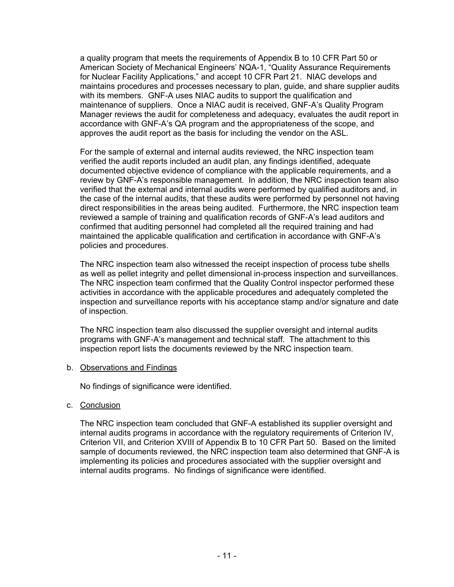a quality program that meets the requirements of Appendix B to 10 CFR Part 50 or American Society of Mechanical Engineers' NQA-1, "Quality Assurance Requirements for Nuclear Facility Applications," and accept 10 CFR Part 21. NIAC develops and maintains procedures and processes necessary to plan, guide, and share supplier audits with its members. GNF-A uses NIAC audits to support the qualification and maintenance of suppliers. Once a NIAC audit is received, GNF-A's Quality Program Manager reviews the audit for completeness and adequacy, evaluates the audit report in accordance with GNF-A's QA program and the appropriateness of the scope, and approves the audit report as the basis for including the vendor on the ASL.

For the sample of external and internal audits reviewed, the NRC inspection team verified the audit reports included an audit plan, any findings identified, adequate documented objective evidence of compliance with the applicable requirements, and a review by GNF-A's responsible management. In addition, the NRC inspection team also verified that the external and internal audits were performed by qualified auditors and, in the case of the internal audits, that these audits were performed by personnel not having direct responsibilities in the areas being audited. Furthermore, the NRC inspection team reviewed a sample of training and qualification records of GNF-A's lead auditors and confirmed that auditing personnel had completed all the required training and had maintained the applicable qualification and certification in accordance with GNF-A's policies and procedures.

The NRC inspection team also witnessed the receipt inspection of process tube shells as well as pellet integrity and pellet dimensional in-process inspection and surveillances. The NRC inspection team confirmed that the Quality Control inspector performed these activities in accordance with the applicable procedures and adequately completed the inspection and surveillance reports with his acceptance stamp and/or signature and date of inspection.

The NRC inspection team also discussed the supplier oversight and internal audits programs with GNF-A's management and technical staff. The attachment to this inspection report lists the documents reviewed by the NRC inspection team.

b. Observations and Findings

No findings of significance were identified.

c. Conclusion

The NRC inspection team concluded that GNF-A established its supplier oversight and internal audits programs in accordance with the regulatory requirements of Criterion IV, Criterion VII, and Criterion XVIII of Appendix B to 10 CFR Part 50. Based on the limited sample of documents reviewed, the NRC inspection team also determined that GNF-A is implementing its policies and procedures associated with the supplier oversight and internal audits programs. No findings of significance were identified.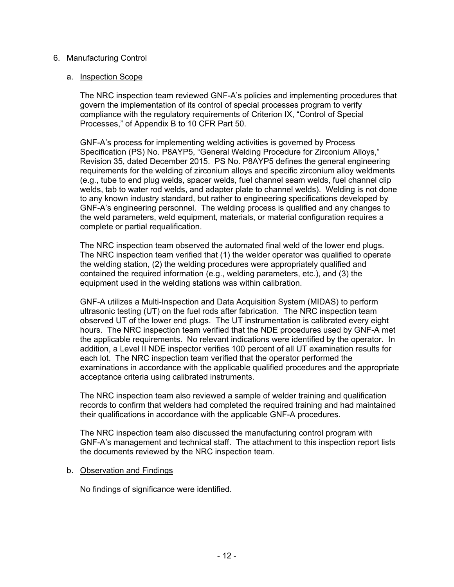# 6. Manufacturing Control

## a. Inspection Scope

The NRC inspection team reviewed GNF-A's policies and implementing procedures that govern the implementation of its control of special processes program to verify compliance with the regulatory requirements of Criterion IX, "Control of Special Processes," of Appendix B to 10 CFR Part 50.

GNF-A's process for implementing welding activities is governed by Process Specification (PS) No. P8AYP5, "General Welding Procedure for Zirconium Alloys," Revision 35, dated December 2015. PS No. P8AYP5 defines the general engineering requirements for the welding of zirconium alloys and specific zirconium alloy weldments (e.g., tube to end plug welds, spacer welds, fuel channel seam welds, fuel channel clip welds, tab to water rod welds, and adapter plate to channel welds). Welding is not done to any known industry standard, but rather to engineering specifications developed by GNF-A's engineering personnel. The welding process is qualified and any changes to the weld parameters, weld equipment, materials, or material configuration requires a complete or partial requalification.

The NRC inspection team observed the automated final weld of the lower end plugs. The NRC inspection team verified that (1) the welder operator was qualified to operate the welding station, (2) the welding procedures were appropriately qualified and contained the required information (e.g., welding parameters, etc.), and (3) the equipment used in the welding stations was within calibration.

GNF-A utilizes a Multi-Inspection and Data Acquisition System (MIDAS) to perform ultrasonic testing (UT) on the fuel rods after fabrication. The NRC inspection team observed UT of the lower end plugs. The UT instrumentation is calibrated every eight hours. The NRC inspection team verified that the NDE procedures used by GNF-A met the applicable requirements. No relevant indications were identified by the operator. In addition, a Level II NDE inspector verifies 100 percent of all UT examination results for each lot. The NRC inspection team verified that the operator performed the examinations in accordance with the applicable qualified procedures and the appropriate acceptance criteria using calibrated instruments.

The NRC inspection team also reviewed a sample of welder training and qualification records to confirm that welders had completed the required training and had maintained their qualifications in accordance with the applicable GNF-A procedures.

The NRC inspection team also discussed the manufacturing control program with GNF-A's management and technical staff. The attachment to this inspection report lists the documents reviewed by the NRC inspection team.

#### b. Observation and Findings

No findings of significance were identified.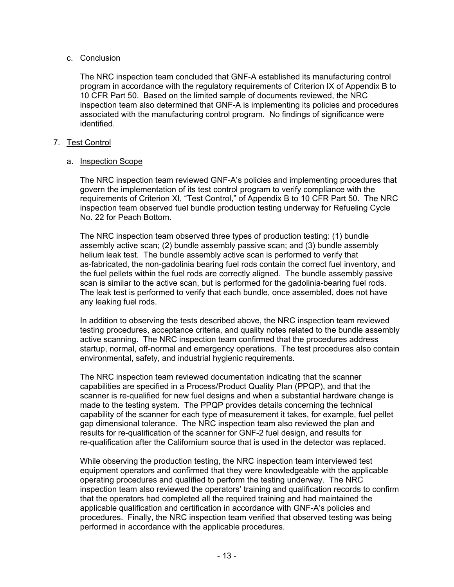# c. Conclusion

The NRC inspection team concluded that GNF-A established its manufacturing control program in accordance with the regulatory requirements of Criterion IX of Appendix B to 10 CFR Part 50. Based on the limited sample of documents reviewed, the NRC inspection team also determined that GNF-A is implementing its policies and procedures associated with the manufacturing control program. No findings of significance were identified.

# 7. Test Control

# a. Inspection Scope

The NRC inspection team reviewed GNF-A's policies and implementing procedures that govern the implementation of its test control program to verify compliance with the requirements of Criterion XI, "Test Control," of Appendix B to 10 CFR Part 50. The NRC inspection team observed fuel bundle production testing underway for Refueling Cycle No. 22 for Peach Bottom.

The NRC inspection team observed three types of production testing: (1) bundle assembly active scan; (2) bundle assembly passive scan; and (3) bundle assembly helium leak test. The bundle assembly active scan is performed to verify that as-fabricated, the non-gadolinia bearing fuel rods contain the correct fuel inventory, and the fuel pellets within the fuel rods are correctly aligned. The bundle assembly passive scan is similar to the active scan, but is performed for the gadolinia-bearing fuel rods. The leak test is performed to verify that each bundle, once assembled, does not have any leaking fuel rods.

In addition to observing the tests described above, the NRC inspection team reviewed testing procedures, acceptance criteria, and quality notes related to the bundle assembly active scanning. The NRC inspection team confirmed that the procedures address startup, normal, off-normal and emergency operations. The test procedures also contain environmental, safety, and industrial hygienic requirements.

The NRC inspection team reviewed documentation indicating that the scanner capabilities are specified in a Process/Product Quality Plan (PPQP), and that the scanner is re-qualified for new fuel designs and when a substantial hardware change is made to the testing system. The PPQP provides details concerning the technical capability of the scanner for each type of measurement it takes, for example, fuel pellet gap dimensional tolerance. The NRC inspection team also reviewed the plan and results for re-qualification of the scanner for GNF-2 fuel design, and results for re-qualification after the Californium source that is used in the detector was replaced.

While observing the production testing, the NRC inspection team interviewed test equipment operators and confirmed that they were knowledgeable with the applicable operating procedures and qualified to perform the testing underway. The NRC inspection team also reviewed the operators' training and qualification records to confirm that the operators had completed all the required training and had maintained the applicable qualification and certification in accordance with GNF-A's policies and procedures. Finally, the NRC inspection team verified that observed testing was being performed in accordance with the applicable procedures.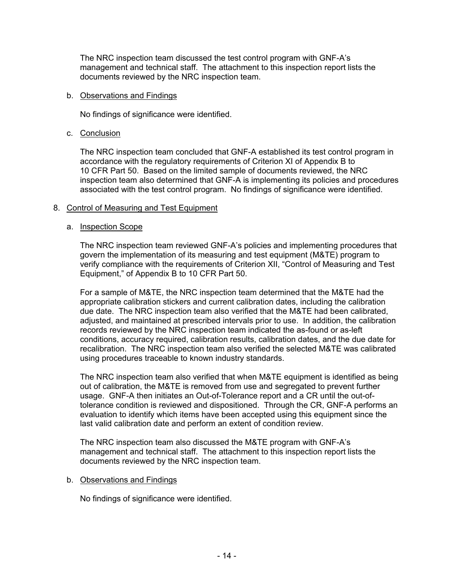The NRC inspection team discussed the test control program with GNF-A's management and technical staff. The attachment to this inspection report lists the documents reviewed by the NRC inspection team.

## b. Observations and Findings

No findings of significance were identified.

# c. Conclusion

The NRC inspection team concluded that GNF-A established its test control program in accordance with the regulatory requirements of Criterion XI of Appendix B to 10 CFR Part 50. Based on the limited sample of documents reviewed, the NRC inspection team also determined that GNF-A is implementing its policies and procedures associated with the test control program. No findings of significance were identified.

# 8. Control of Measuring and Test Equipment

# a. Inspection Scope

The NRC inspection team reviewed GNF-A's policies and implementing procedures that govern the implementation of its measuring and test equipment (M&TE) program to verify compliance with the requirements of Criterion XII, "Control of Measuring and Test Equipment," of Appendix B to 10 CFR Part 50.

For a sample of M&TE, the NRC inspection team determined that the M&TE had the appropriate calibration stickers and current calibration dates, including the calibration due date. The NRC inspection team also verified that the M&TE had been calibrated, adjusted, and maintained at prescribed intervals prior to use. In addition, the calibration records reviewed by the NRC inspection team indicated the as-found or as-left conditions, accuracy required, calibration results, calibration dates, and the due date for recalibration. The NRC inspection team also verified the selected M&TE was calibrated using procedures traceable to known industry standards.

The NRC inspection team also verified that when M&TE equipment is identified as being out of calibration, the M&TE is removed from use and segregated to prevent further usage. GNF-A then initiates an Out-of-Tolerance report and a CR until the out-oftolerance condition is reviewed and dispositioned. Through the CR, GNF-A performs an evaluation to identify which items have been accepted using this equipment since the last valid calibration date and perform an extent of condition review.

The NRC inspection team also discussed the M&TE program with GNF-A's management and technical staff. The attachment to this inspection report lists the documents reviewed by the NRC inspection team.

# b. Observations and Findings

No findings of significance were identified.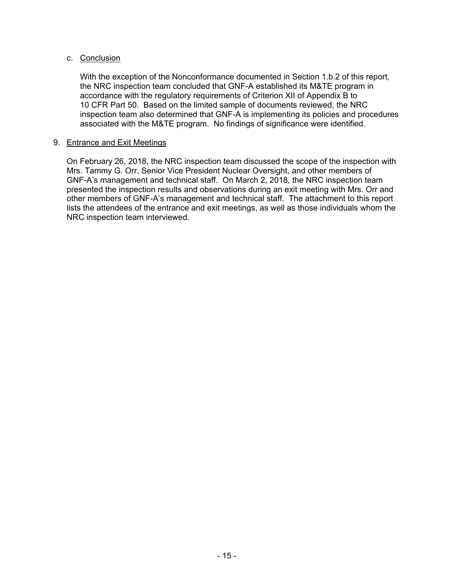# c. Conclusion

With the exception of the Nonconformance documented in Section 1.b.2 of this report, the NRC inspection team concluded that GNF-A established its M&TE program in accordance with the regulatory requirements of Criterion XII of Appendix B to 10 CFR Part 50. Based on the limited sample of documents reviewed, the NRC inspection team also determined that GNF-A is implementing its policies and procedures associated with the M&TE program. No findings of significance were identified.

# 9. Entrance and Exit Meetings

On February 26, 2018, the NRC inspection team discussed the scope of the inspection with Mrs. Tammy G. Orr, Senior Vice President Nuclear Oversight, and other members of GNF-A's management and technical staff. On March 2, 2018, the NRC inspection team presented the inspection results and observations during an exit meeting with Mrs. Orr and other members of GNF-A's management and technical staff. The attachment to this report lists the attendees of the entrance and exit meetings, as well as those individuals whom the NRC inspection team interviewed.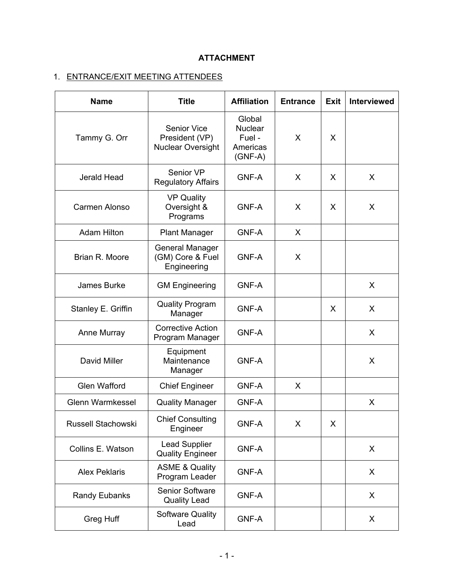# **ATTACHMENT**

# 1. ENTRANCE/EXIT MEETING ATTENDEES

| <b>Name</b>             | <b>Title</b>                                                     | <b>Affiliation</b>                                          | <b>Entrance</b> | <b>Exit</b> | Interviewed |
|-------------------------|------------------------------------------------------------------|-------------------------------------------------------------|-----------------|-------------|-------------|
| Tammy G. Orr            | <b>Senior Vice</b><br>President (VP)<br><b>Nuclear Oversight</b> | Global<br><b>Nuclear</b><br>Fuel -<br>Americas<br>$(GNF-A)$ | X               | X           |             |
| Jerald Head             | Senior VP<br><b>Regulatory Affairs</b>                           | <b>GNF-A</b>                                                | X               | X           | X           |
| Carmen Alonso           | <b>VP Quality</b><br>Oversight &<br>Programs                     | <b>GNF-A</b>                                                | X               | X           | X           |
| <b>Adam Hilton</b>      | <b>Plant Manager</b>                                             | <b>GNF-A</b>                                                | X               |             |             |
| Brian R. Moore          | <b>General Manager</b><br>(GM) Core & Fuel<br>Engineering        | <b>GNF-A</b>                                                | X               |             |             |
| James Burke             | <b>GM Engineering</b>                                            | <b>GNF-A</b>                                                |                 |             | X           |
| Stanley E. Griffin      | <b>Quality Program</b><br>Manager                                | <b>GNF-A</b>                                                |                 | X           | X           |
| Anne Murray             | <b>Corrective Action</b><br>Program Manager                      | <b>GNF-A</b>                                                |                 |             | X           |
| David Miller            | Equipment<br>Maintenance<br>Manager                              | <b>GNF-A</b>                                                |                 |             | X           |
| <b>Glen Wafford</b>     | <b>Chief Engineer</b>                                            | <b>GNF-A</b>                                                | X               |             |             |
| <b>Glenn Warmkessel</b> | <b>Quality Manager</b>                                           | <b>GNF-A</b>                                                |                 |             | X           |
| Russell Stachowski      | <b>Chief Consulting</b><br>Engineer                              | <b>GNF-A</b>                                                | X               | X           |             |
| Collins E. Watson       | <b>Lead Supplier</b><br><b>Quality Engineer</b>                  | GNF-A                                                       |                 |             | X           |
| <b>Alex Peklaris</b>    | <b>ASME &amp; Quality</b><br>Program Leader                      | <b>GNF-A</b>                                                |                 |             | X           |
| Randy Eubanks           | Senior Software<br><b>Quality Lead</b>                           | <b>GNF-A</b>                                                |                 |             | X           |
| Greg Huff               | <b>Software Quality</b><br>Lead                                  | GNF-A                                                       |                 |             | X           |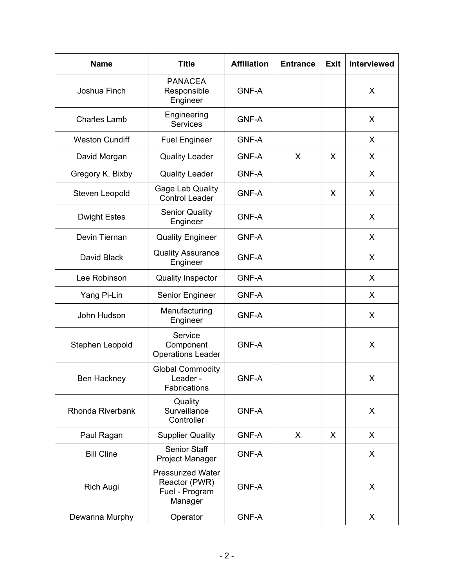| <b>Name</b>           | <b>Title</b>                                                           | <b>Affiliation</b> | <b>Entrance</b> | <b>Exit</b> | <b>Interviewed</b> |
|-----------------------|------------------------------------------------------------------------|--------------------|-----------------|-------------|--------------------|
| Joshua Finch          | <b>PANACEA</b><br>Responsible<br>Engineer                              | <b>GNF-A</b>       |                 |             | X                  |
| <b>Charles Lamb</b>   | Engineering<br><b>Services</b>                                         | <b>GNF-A</b>       |                 |             | X                  |
| <b>Weston Cundiff</b> | <b>Fuel Engineer</b>                                                   | <b>GNF-A</b>       |                 |             | X                  |
| David Morgan          | <b>Quality Leader</b>                                                  | <b>GNF-A</b>       | X               | X           | X                  |
| Gregory K. Bixby      | <b>Quality Leader</b>                                                  | <b>GNF-A</b>       |                 |             | X                  |
| Steven Leopold        | Gage Lab Quality<br><b>Control Leader</b>                              | <b>GNF-A</b>       |                 | X           | X                  |
| <b>Dwight Estes</b>   | <b>Senior Quality</b><br>Engineer                                      | <b>GNF-A</b>       |                 |             | X                  |
| Devin Tiernan         | <b>Quality Engineer</b>                                                | <b>GNF-A</b>       |                 |             | X                  |
| David Black           | <b>Quality Assurance</b><br>Engineer                                   | <b>GNF-A</b>       |                 |             | X                  |
| Lee Robinson          | <b>Quality Inspector</b>                                               | <b>GNF-A</b>       |                 |             | X                  |
| Yang Pi-Lin           | Senior Engineer                                                        | <b>GNF-A</b>       |                 |             | X                  |
| John Hudson           | Manufacturing<br>Engineer                                              | <b>GNF-A</b>       |                 |             | X                  |
| Stephen Leopold       | Service<br>Component<br><b>Operations Leader</b>                       | <b>GNF-A</b>       |                 |             | X                  |
| <b>Ben Hackney</b>    | <b>Global Commodity</b><br>Leader -<br>Fabrications                    | <b>GNF-A</b>       |                 |             | X                  |
| Rhonda Riverbank      | Quality<br>Surveillance<br>Controller                                  | <b>GNF-A</b>       |                 |             | X                  |
| Paul Ragan            | <b>Supplier Quality</b>                                                | <b>GNF-A</b>       | $\chi$          | X           | $\mathsf{X}$       |
| <b>Bill Cline</b>     | <b>Senior Staff</b><br><b>Project Manager</b>                          | <b>GNF-A</b>       |                 |             | X                  |
| <b>Rich Augi</b>      | <b>Pressurized Water</b><br>Reactor (PWR)<br>Fuel - Program<br>Manager | <b>GNF-A</b>       |                 |             | X                  |
| Dewanna Murphy        | Operator                                                               | <b>GNF-A</b>       |                 |             | X                  |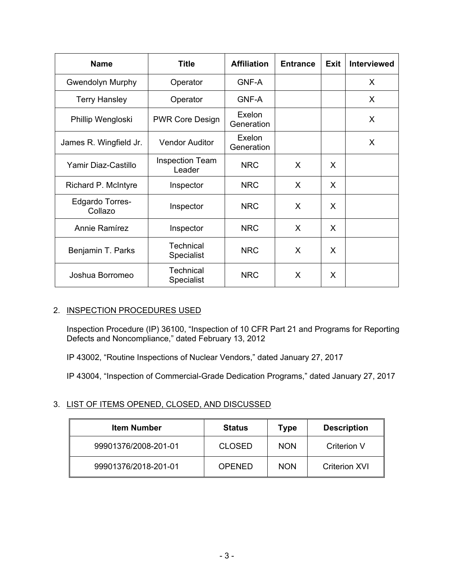| <b>Name</b>                       | <b>Title</b>                          | <b>Affiliation</b>   | <b>Entrance</b> | <b>Exit</b> | <b>Interviewed</b> |
|-----------------------------------|---------------------------------------|----------------------|-----------------|-------------|--------------------|
| <b>Gwendolyn Murphy</b>           | Operator                              | <b>GNF-A</b>         |                 |             | X                  |
| <b>Terry Hansley</b>              | Operator                              | <b>GNF-A</b>         |                 |             | X                  |
| Phillip Wengloski                 | <b>PWR Core Design</b>                | Exelon<br>Generation |                 |             | X                  |
| James R. Wingfield Jr.            | <b>Vendor Auditor</b>                 | Exelon<br>Generation |                 |             | X                  |
| Yamir Diaz-Castillo               | <b>Inspection Team</b><br>Leader      | <b>NRC</b>           | X               | X           |                    |
| Richard P. McIntyre               | Inspector                             | <b>NRC</b>           | X               | X           |                    |
| <b>Edgardo Torres-</b><br>Collazo | Inspector                             | <b>NRC</b>           | X               | X           |                    |
| Annie Ramírez                     | Inspector                             | <b>NRC</b>           | $\sf X$         | X           |                    |
| Benjamin T. Parks                 | Technical<br><b>Specialist</b>        | <b>NRC</b>           | X               | X           |                    |
| Joshua Borromeo                   | <b>Technical</b><br><b>Specialist</b> | <b>NRC</b>           | X               | X           |                    |

# 2. INSPECTION PROCEDURES USED

Inspection Procedure (IP) 36100, "Inspection of 10 CFR Part 21 and Programs for Reporting Defects and Noncompliance," dated February 13, 2012

IP 43002, "Routine Inspections of Nuclear Vendors," dated January 27, 2017

IP 43004, "Inspection of Commercial-Grade Dedication Programs," dated January 27, 2017

# 3. LIST OF ITEMS OPENED, CLOSED, AND DISCUSSED

| <b>Item Number</b>   | <b>Status</b> | Type       | <b>Description</b>   |
|----------------------|---------------|------------|----------------------|
| 99901376/2008-201-01 | <b>CLOSED</b> | <b>NON</b> | Criterion V          |
| 99901376/2018-201-01 | <b>OPENED</b> | <b>NON</b> | <b>Criterion XVI</b> |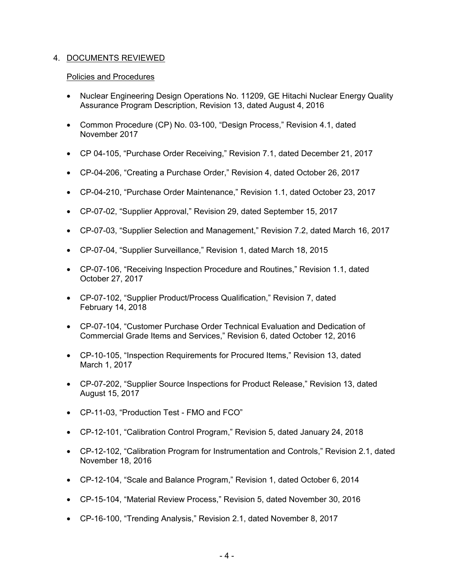# 4. DOCUMENTS REVIEWED

# Policies and Procedures

- Nuclear Engineering Design Operations No. 11209, GE Hitachi Nuclear Energy Quality Assurance Program Description, Revision 13, dated August 4, 2016
- Common Procedure (CP) No. 03-100, "Design Process," Revision 4.1, dated November 2017
- CP 04-105, "Purchase Order Receiving," Revision 7.1, dated December 21, 2017
- CP-04-206, "Creating a Purchase Order," Revision 4, dated October 26, 2017
- CP-04-210, "Purchase Order Maintenance," Revision 1.1, dated October 23, 2017
- CP-07-02, "Supplier Approval," Revision 29, dated September 15, 2017
- CP-07-03, "Supplier Selection and Management," Revision 7.2, dated March 16, 2017
- CP-07-04, "Supplier Surveillance," Revision 1, dated March 18, 2015
- CP-07-106, "Receiving Inspection Procedure and Routines," Revision 1.1, dated October 27, 2017
- CP-07-102, "Supplier Product/Process Qualification," Revision 7, dated February 14, 2018
- CP-07-104, "Customer Purchase Order Technical Evaluation and Dedication of Commercial Grade Items and Services," Revision 6, dated October 12, 2016
- CP-10-105, "Inspection Requirements for Procured Items," Revision 13, dated March 1, 2017
- CP-07-202, "Supplier Source Inspections for Product Release," Revision 13, dated August 15, 2017
- CP-11-03, "Production Test FMO and FCO"
- CP-12-101, "Calibration Control Program," Revision 5, dated January 24, 2018
- CP-12-102, "Calibration Program for Instrumentation and Controls," Revision 2.1, dated November 18, 2016
- CP-12-104, "Scale and Balance Program," Revision 1, dated October 6, 2014
- CP-15-104, "Material Review Process," Revision 5, dated November 30, 2016
- CP-16-100, "Trending Analysis," Revision 2.1, dated November 8, 2017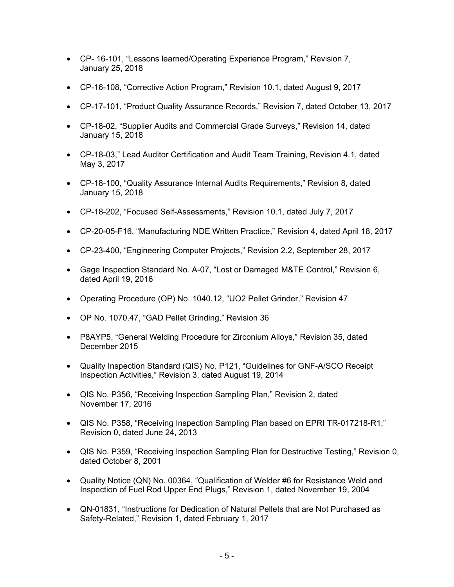- CP- 16-101, "Lessons learned/Operating Experience Program," Revision 7, January 25, 2018
- CP-16-108, "Corrective Action Program," Revision 10.1, dated August 9, 2017
- CP-17-101, "Product Quality Assurance Records," Revision 7, dated October 13, 2017
- CP-18-02, "Supplier Audits and Commercial Grade Surveys," Revision 14, dated January 15, 2018
- CP-18-03," Lead Auditor Certification and Audit Team Training, Revision 4.1, dated May 3, 2017
- CP-18-100, "Quality Assurance Internal Audits Requirements," Revision 8, dated January 15, 2018
- CP-18-202, "Focused Self-Assessments," Revision 10.1, dated July 7, 2017
- CP-20-05-F16, "Manufacturing NDE Written Practice," Revision 4, dated April 18, 2017
- CP-23-400, "Engineering Computer Projects," Revision 2.2, September 28, 2017
- Gage Inspection Standard No. A-07, "Lost or Damaged M&TE Control," Revision 6, dated April 19, 2016
- Operating Procedure (OP) No. 1040.12, "UO2 Pellet Grinder," Revision 47
- OP No. 1070.47, "GAD Pellet Grinding," Revision 36
- P8AYP5, "General Welding Procedure for Zirconium Alloys," Revision 35, dated December 2015
- Quality Inspection Standard (QIS) No. P121, "Guidelines for GNF-A/SCO Receipt Inspection Activities," Revision 3, dated August 19, 2014
- QIS No. P356, "Receiving Inspection Sampling Plan," Revision 2, dated November 17, 2016
- QIS No. P358, "Receiving Inspection Sampling Plan based on EPRI TR-017218-R1," Revision 0, dated June 24, 2013
- QIS No. P359, "Receiving Inspection Sampling Plan for Destructive Testing," Revision 0, dated October 8, 2001
- Quality Notice (QN) No. 00364, "Qualification of Welder #6 for Resistance Weld and Inspection of Fuel Rod Upper End Plugs," Revision 1, dated November 19, 2004
- QN-01831, "Instructions for Dedication of Natural Pellets that are Not Purchased as Safety-Related," Revision 1, dated February 1, 2017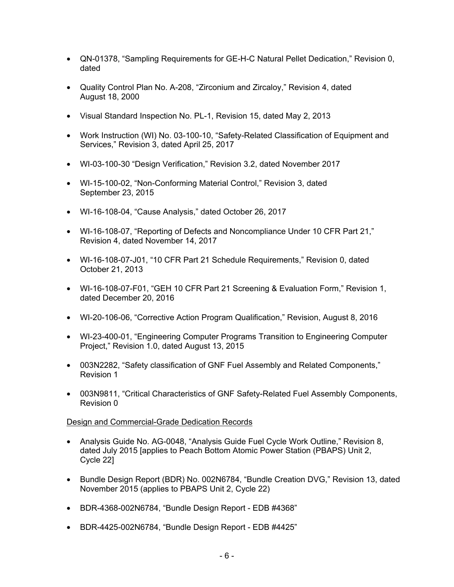- QN-01378, "Sampling Requirements for GE-H-C Natural Pellet Dedication," Revision 0, dated
- Quality Control Plan No. A-208, "Zirconium and Zircaloy," Revision 4, dated August 18, 2000
- Visual Standard Inspection No. PL-1, Revision 15, dated May 2, 2013
- Work Instruction (WI) No. 03-100-10, "Safety-Related Classification of Equipment and Services," Revision 3, dated April 25, 2017
- WI-03-100-30 "Design Verification," Revision 3.2, dated November 2017
- WI-15-100-02, "Non-Conforming Material Control," Revision 3, dated September 23, 2015
- WI-16-108-04, "Cause Analysis," dated October 26, 2017
- WI-16-108-07, "Reporting of Defects and Noncompliance Under 10 CFR Part 21," Revision 4, dated November 14, 2017
- WI-16-108-07-J01, "10 CFR Part 21 Schedule Requirements," Revision 0, dated October 21, 2013
- WI-16-108-07-F01, "GEH 10 CFR Part 21 Screening & Evaluation Form," Revision 1, dated December 20, 2016
- WI-20-106-06, "Corrective Action Program Qualification," Revision, August 8, 2016
- WI-23-400-01, "Engineering Computer Programs Transition to Engineering Computer Project," Revision 1.0, dated August 13, 2015
- 003N2282, "Safety classification of GNF Fuel Assembly and Related Components," Revision 1
- 003N9811, "Critical Characteristics of GNF Safety-Related Fuel Assembly Components, Revision 0

# Design and Commercial-Grade Dedication Records

- Analysis Guide No. AG-0048, "Analysis Guide Fuel Cycle Work Outline," Revision 8, dated July 2015 [applies to Peach Bottom Atomic Power Station (PBAPS) Unit 2, Cycle 22]
- Bundle Design Report (BDR) No. 002N6784, "Bundle Creation DVG," Revision 13, dated November 2015 (applies to PBAPS Unit 2, Cycle 22)
- BDR-4368-002N6784, "Bundle Design Report EDB #4368"
- BDR-4425-002N6784, "Bundle Design Report EDB #4425"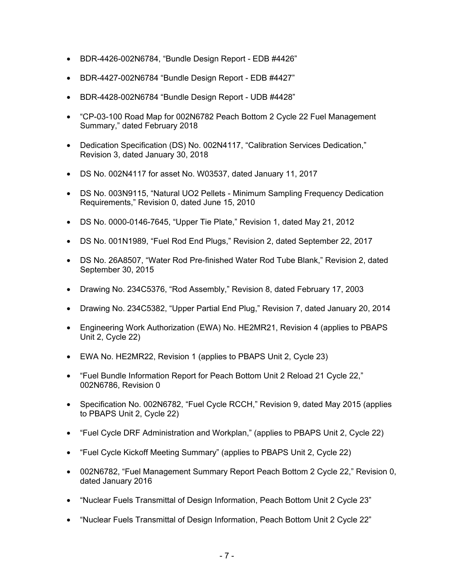- BDR-4426-002N6784, "Bundle Design Report EDB #4426"
- BDR-4427-002N6784 "Bundle Design Report EDB #4427"
- BDR-4428-002N6784 "Bundle Design Report UDB #4428"
- "CP-03-100 Road Map for 002N6782 Peach Bottom 2 Cycle 22 Fuel Management Summary," dated February 2018
- Dedication Specification (DS) No. 002N4117, "Calibration Services Dedication," Revision 3, dated January 30, 2018
- DS No. 002N4117 for asset No. W03537, dated January 11, 2017
- DS No. 003N9115, "Natural UO2 Pellets Minimum Sampling Frequency Dedication Requirements," Revision 0, dated June 15, 2010
- DS No. 0000-0146-7645, "Upper Tie Plate," Revision 1, dated May 21, 2012
- DS No. 001N1989, "Fuel Rod End Plugs," Revision 2, dated September 22, 2017
- DS No. 26A8507, "Water Rod Pre-finished Water Rod Tube Blank," Revision 2, dated September 30, 2015
- Drawing No. 234C5376, "Rod Assembly," Revision 8, dated February 17, 2003
- Drawing No. 234C5382, "Upper Partial End Plug," Revision 7, dated January 20, 2014
- Engineering Work Authorization (EWA) No. HE2MR21, Revision 4 (applies to PBAPS Unit 2, Cycle 22)
- EWA No. HE2MR22, Revision 1 (applies to PBAPS Unit 2, Cycle 23)
- "Fuel Bundle Information Report for Peach Bottom Unit 2 Reload 21 Cycle 22," 002N6786, Revision 0
- Specification No. 002N6782, "Fuel Cycle RCCH," Revision 9, dated May 2015 (applies to PBAPS Unit 2, Cycle 22)
- "Fuel Cycle DRF Administration and Workplan," (applies to PBAPS Unit 2, Cycle 22)
- "Fuel Cycle Kickoff Meeting Summary" (applies to PBAPS Unit 2, Cycle 22)
- 002N6782, "Fuel Management Summary Report Peach Bottom 2 Cycle 22," Revision 0, dated January 2016
- "Nuclear Fuels Transmittal of Design Information, Peach Bottom Unit 2 Cycle 23"
- "Nuclear Fuels Transmittal of Design Information, Peach Bottom Unit 2 Cycle 22"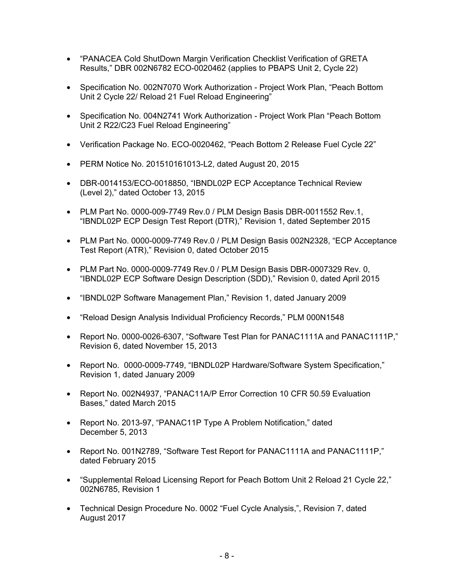- "PANACEA Cold ShutDown Margin Verification Checklist Verification of GRETA Results," DBR 002N6782 ECO-0020462 (applies to PBAPS Unit 2, Cycle 22)
- Specification No. 002N7070 Work Authorization Project Work Plan, "Peach Bottom Unit 2 Cycle 22/ Reload 21 Fuel Reload Engineering"
- Specification No. 004N2741 Work Authorization Project Work Plan "Peach Bottom Unit 2 R22/C23 Fuel Reload Engineering"
- Verification Package No. ECO-0020462, "Peach Bottom 2 Release Fuel Cycle 22"
- PERM Notice No. 201510161013-L2, dated August 20, 2015
- DBR-0014153/ECO-0018850, "IBNDL02P ECP Acceptance Technical Review (Level 2)," dated October 13, 2015
- PLM Part No. 0000-009-7749 Rev.0 / PLM Design Basis DBR-0011552 Rev.1, "IBNDL02P ECP Design Test Report (DTR)," Revision 1, dated September 2015
- PLM Part No. 0000-0009-7749 Rev.0 / PLM Design Basis 002N2328, "ECP Acceptance Test Report (ATR)," Revision 0, dated October 2015
- PLM Part No. 0000-0009-7749 Rev.0 / PLM Design Basis DBR-0007329 Rev. 0, "IBNDL02P ECP Software Design Description (SDD)," Revision 0, dated April 2015
- "IBNDL02P Software Management Plan," Revision 1, dated January 2009
- "Reload Design Analysis Individual Proficiency Records," PLM 000N1548
- Report No. 0000-0026-6307, "Software Test Plan for PANAC1111A and PANAC1111P," Revision 6, dated November 15, 2013
- Report No. 0000-0009-7749, "IBNDL02P Hardware/Software System Specification," Revision 1, dated January 2009
- Report No. 002N4937, "PANAC11A/P Error Correction 10 CFR 50.59 Evaluation Bases," dated March 2015
- Report No. 2013-97, "PANAC11P Type A Problem Notification," dated December 5, 2013
- Report No. 001N2789, "Software Test Report for PANAC1111A and PANAC1111P," dated February 2015
- "Supplemental Reload Licensing Report for Peach Bottom Unit 2 Reload 21 Cycle 22," 002N6785, Revision 1
- Technical Design Procedure No. 0002 "Fuel Cycle Analysis,", Revision 7, dated August 2017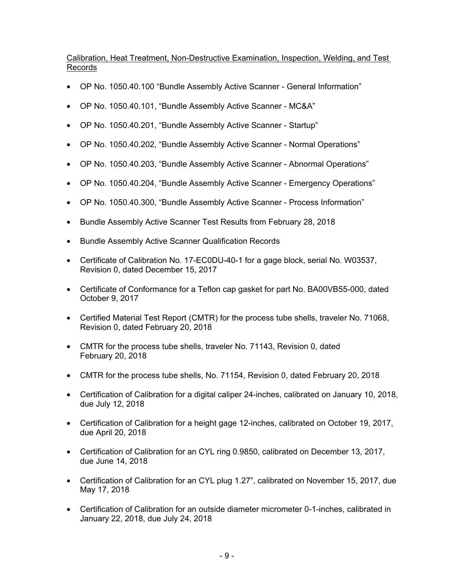# Calibration, Heat Treatment, Non-Destructive Examination, Inspection, Welding, and Test Records

- OP No. 1050.40.100 "Bundle Assembly Active Scanner General Information"
- OP No. 1050.40.101, "Bundle Assembly Active Scanner MC&A"
- OP No. 1050.40.201, "Bundle Assembly Active Scanner Startup"
- OP No. 1050.40.202, "Bundle Assembly Active Scanner Normal Operations"
- OP No. 1050.40.203, "Bundle Assembly Active Scanner Abnormal Operations"
- OP No. 1050.40.204, "Bundle Assembly Active Scanner Emergency Operations"
- OP No. 1050.40.300, "Bundle Assembly Active Scanner Process Information"
- Bundle Assembly Active Scanner Test Results from February 28, 2018
- Bundle Assembly Active Scanner Qualification Records
- Certificate of Calibration No. 17-EC0DU-40-1 for a gage block, serial No. W03537, Revision 0, dated December 15, 2017
- Certificate of Conformance for a Teflon cap gasket for part No. BA00VB55-000, dated October 9, 2017
- Certified Material Test Report (CMTR) for the process tube shells, traveler No. 71068, Revision 0, dated February 20, 2018
- CMTR for the process tube shells, traveler No. 71143, Revision 0, dated February 20, 2018
- CMTR for the process tube shells, No. 71154, Revision 0, dated February 20, 2018
- Certification of Calibration for a digital caliper 24-inches, calibrated on January 10, 2018, due July 12, 2018
- Certification of Calibration for a height gage 12-inches, calibrated on October 19, 2017, due April 20, 2018
- Certification of Calibration for an CYL ring 0.9850, calibrated on December 13, 2017, due June 14, 2018
- Certification of Calibration for an CYL plug 1.27", calibrated on November 15, 2017, due May 17, 2018
- Certification of Calibration for an outside diameter micrometer 0-1-inches, calibrated in January 22, 2018, due July 24, 2018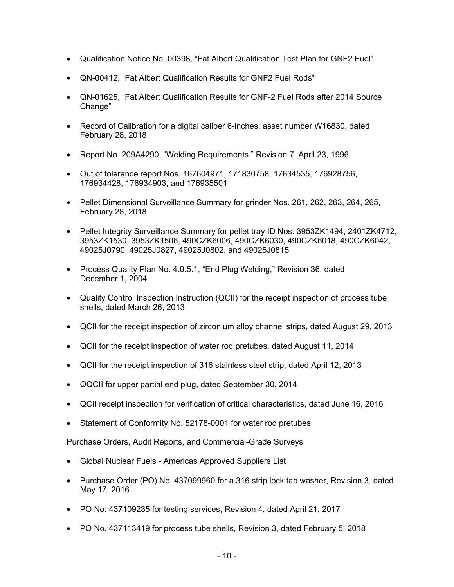- Qualification Notice No. 00398, "Fat Albert Qualification Test Plan for GNF2 Fuel"
- QN-00412, "Fat Albert Qualification Results for GNF2 Fuel Rods"
- QN-01625, "Fat Albert Qualification Results for GNF-2 Fuel Rods after 2014 Source Change"
- Record of Calibration for a digital caliper 6-inches, asset number W16830, dated February 28, 2018
- Report No. 209A4290, "Welding Requirements," Revision 7, April 23, 1996
- Out of tolerance report Nos. 167604971, 171830758, 17634535, 176928756, 176934428, 176934903, and 176935501
- Pellet Dimensional Surveillance Summary for grinder Nos. 261, 262, 263, 264, 265, February 28, 2018
- Pellet Integrity Surveillance Summary for pellet tray ID Nos. 3953ZK1494, 2401ZK4712, 3953ZK1530, 3953ZK1506, 490CZK6006, 490CZK6030, 490CZK6018, 490CZK6042, 49025J0790, 49025J0827, 49025J0802, and 49025J0815
- Process Quality Plan No. 4.0.5.1, "End Plug Welding," Revision 36, dated December 1, 2004
- Quality Control Inspection Instruction (QCII) for the receipt inspection of process tube shells, dated March 26, 2013
- QCII for the receipt inspection of zirconium alloy channel strips, dated August 29, 2013
- QCII for the receipt inspection of water rod pretubes, dated August 11, 2014
- QCII for the receipt inspection of 316 stainless steel strip, dated April 12, 2013
- QQCII for upper partial end plug, dated September 30, 2014
- QCII receipt inspection for verification of critical characteristics, dated June 16, 2016
- Statement of Conformity No. 52178-0001 for water rod pretubes

# Purchase Orders, Audit Reports, and Commercial-Grade Surveys

- Global Nuclear Fuels Americas Approved Suppliers List
- Purchase Order (PO) No. 437099960 for a 316 strip lock tab washer, Revision 3, dated May 17, 2016
- PO No. 437109235 for testing services, Revision 4, dated April 21, 2017
- PO No. 437113419 for process tube shells, Revision 3, dated February 5, 2018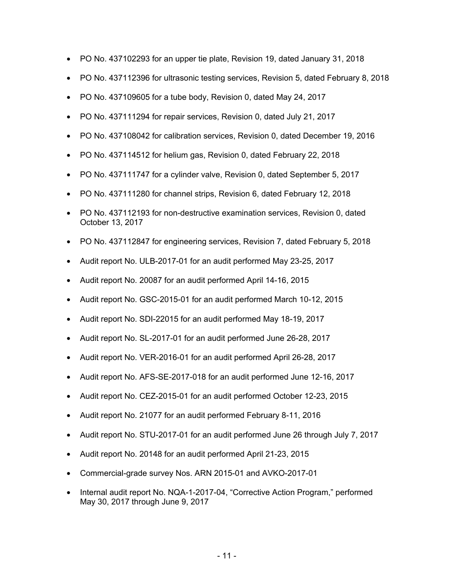- PO No. 437102293 for an upper tie plate, Revision 19, dated January 31, 2018
- PO No. 437112396 for ultrasonic testing services, Revision 5, dated February 8, 2018
- PO No. 437109605 for a tube body, Revision 0, dated May 24, 2017
- PO No. 437111294 for repair services, Revision 0, dated July 21, 2017
- PO No. 437108042 for calibration services, Revision 0, dated December 19, 2016
- PO No. 437114512 for helium gas, Revision 0, dated February 22, 2018
- PO No. 437111747 for a cylinder valve, Revision 0, dated September 5, 2017
- PO No. 437111280 for channel strips, Revision 6, dated February 12, 2018
- PO No. 437112193 for non-destructive examination services, Revision 0, dated October 13, 2017
- PO No. 437112847 for engineering services, Revision 7, dated February 5, 2018
- Audit report No. ULB-2017-01 for an audit performed May 23-25, 2017
- Audit report No. 20087 for an audit performed April 14-16, 2015
- Audit report No. GSC-2015-01 for an audit performed March 10-12, 2015
- Audit report No. SDI-22015 for an audit performed May 18-19, 2017
- Audit report No. SL-2017-01 for an audit performed June 26-28, 2017
- Audit report No. VER-2016-01 for an audit performed April 26-28, 2017
- Audit report No. AFS-SE-2017-018 for an audit performed June 12-16, 2017
- Audit report No. CEZ-2015-01 for an audit performed October 12-23, 2015
- Audit report No. 21077 for an audit performed February 8-11, 2016
- Audit report No. STU-2017-01 for an audit performed June 26 through July 7, 2017
- Audit report No. 20148 for an audit performed April 21-23, 2015
- Commercial-grade survey Nos. ARN 2015-01 and AVKO-2017-01
- Internal audit report No. NQA-1-2017-04, "Corrective Action Program," performed May 30, 2017 through June 9, 2017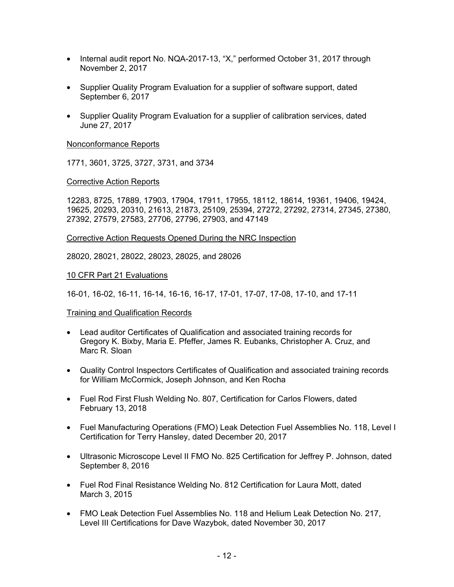- Internal audit report No. NQA-2017-13, "X," performed October 31, 2017 through November 2, 2017
- Supplier Quality Program Evaluation for a supplier of software support, dated September 6, 2017
- Supplier Quality Program Evaluation for a supplier of calibration services, dated June 27, 2017

#### Nonconformance Reports

1771, 3601, 3725, 3727, 3731, and 3734

#### Corrective Action Reports

12283, 8725, 17889, 17903, 17904, 17911, 17955, 18112, 18614, 19361, 19406, 19424, 19625, 20293, 20310, 21613, 21873, 25109, 25394, 27272, 27292, 27314, 27345, 27380, 27392, 27579, 27583, 27706, 27796, 27903, and 47149

#### Corrective Action Requests Opened During the NRC Inspection

28020, 28021, 28022, 28023, 28025, and 28026

#### 10 CFR Part 21 Evaluations

16-01, 16-02, 16-11, 16-14, 16-16, 16-17, 17-01, 17-07, 17-08, 17-10, and 17-11

#### Training and Qualification Records

- Lead auditor Certificates of Qualification and associated training records for Gregory K. Bixby, Maria E. Pfeffer, James R. Eubanks, Christopher A. Cruz, and Marc R. Sloan
- Quality Control Inspectors Certificates of Qualification and associated training records for William McCormick, Joseph Johnson, and Ken Rocha
- Fuel Rod First Flush Welding No. 807, Certification for Carlos Flowers, dated February 13, 2018
- Fuel Manufacturing Operations (FMO) Leak Detection Fuel Assemblies No. 118, Level I Certification for Terry Hansley, dated December 20, 2017
- Ultrasonic Microscope Level II FMO No. 825 Certification for Jeffrey P. Johnson, dated September 8, 2016
- Fuel Rod Final Resistance Welding No. 812 Certification for Laura Mott, dated March 3, 2015
- FMO Leak Detection Fuel Assemblies No. 118 and Helium Leak Detection No. 217, Level III Certifications for Dave Wazybok, dated November 30, 2017